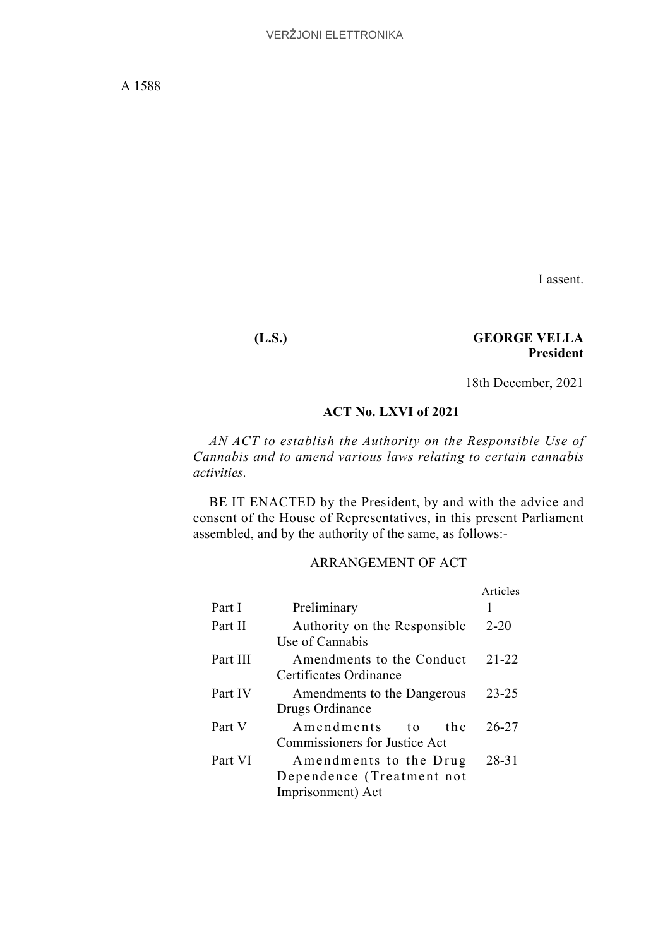I assent.

# **(L.S.) GEORGE VELLA President**

18th December, 2021

# **ACT No. LXVI of 2021**

*AN ACT to establish the Authority on the Responsible Use of Cannabis and to amend various laws relating to certain cannabis activities.*

BE IT ENACTED by the President, by and with the advice and consent of the House of Representatives, in this present Parliament assembled, and by the authority of the same, as follows:-

# ARRANGEMENT OF ACT

|          |                                                                                  | Articles  |
|----------|----------------------------------------------------------------------------------|-----------|
| Part I   | Preliminary                                                                      |           |
| Part II  | Authority on the Responsible<br>Use of Cannabis                                  | $2 - 20$  |
| Part III | Amendments to the Conduct<br>Certificates Ordinance                              | $21 - 22$ |
| Part IV  | Amendments to the Dangerous<br>Drugs Ordinance                                   | $23 - 25$ |
| Part V   | Amendments<br>th e<br>$\mathbf{t}$ $\mathbf{o}$<br>Commissioners for Justice Act | $26 - 27$ |
| Part VI  | Amendments to the Drug<br>Dependence (Treatment not<br>Imprisonment) Act         | $28 - 31$ |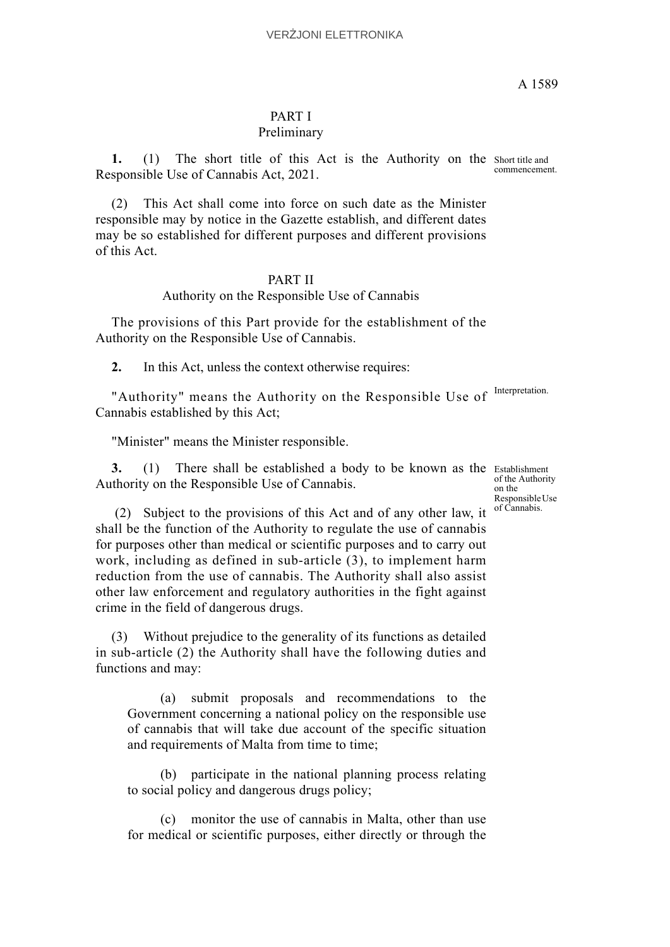## PART I Preliminary

1. (1) The short title of this Act is the Authority on the Short title and Responsible Use of Cannabis Act, 2021.

(2) This Act shall come into force on such date as the Minister responsible may by notice in the Gazette establish, and different dates may be so established for different purposes and different provisions of this Act.

## PART II

#### Authority on the Responsible Use of Cannabis

The provisions of this Part provide for the establishment of the Authority on the Responsible Use of Cannabis.

**2.** In this Act, unless the context otherwise requires:

"Authority" means the Authority on the Responsible Use of Interpretation. Cannabis established by this Act;

"Minister" means the Minister responsible.

3. (1) There shall be established a body to be known as the Establishment Authority on the Responsible Use of Cannabis.

of the Authority on the Responsible Use of Cannabis.

 (2) Subject to the provisions of this Act and of any other law, it shall be the function of the Authority to regulate the use of cannabis for purposes other than medical or scientific purposes and to carry out work, including as defined in sub-article (3), to implement harm reduction from the use of cannabis. The Authority shall also assist other law enforcement and regulatory authorities in the fight against crime in the field of dangerous drugs.

(3) Without prejudice to the generality of its functions as detailed in sub-article (2) the Authority shall have the following duties and functions and may:

(a) submit proposals and recommendations to the Government concerning a national policy on the responsible use of cannabis that will take due account of the specific situation and requirements of Malta from time to time;

(b) participate in the national planning process relating to social policy and dangerous drugs policy;

(c) monitor the use of cannabis in Malta, other than use for medical or scientific purposes, either directly or through the

commencement.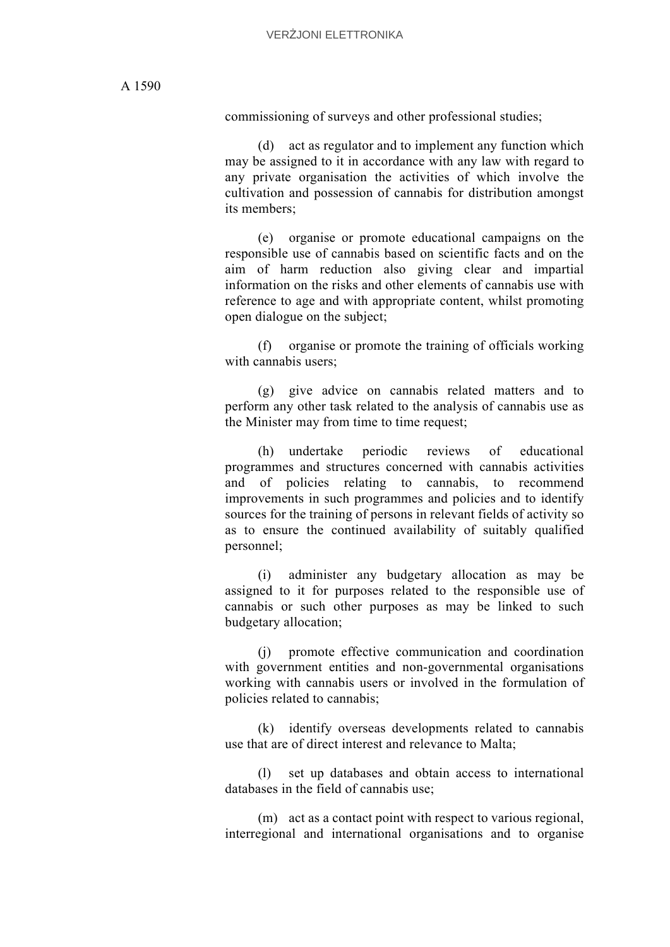commissioning of surveys and other professional studies;

(d) act as regulator and to implement any function which may be assigned to it in accordance with any law with regard to any private organisation the activities of which involve the cultivation and possession of cannabis for distribution amongst its members;

(e) organise or promote educational campaigns on the responsible use of cannabis based on scientific facts and on the aim of harm reduction also giving clear and impartial information on the risks and other elements of cannabis use with reference to age and with appropriate content, whilst promoting open dialogue on the subject;

(f) organise or promote the training of officials working with cannabis users;

(g) give advice on cannabis related matters and to perform any other task related to the analysis of cannabis use as the Minister may from time to time request;

(h) undertake periodic reviews of educational programmes and structures concerned with cannabis activities and of policies relating to cannabis, to recommend improvements in such programmes and policies and to identify sources for the training of persons in relevant fields of activity so as to ensure the continued availability of suitably qualified personnel;

(i) administer any budgetary allocation as may be assigned to it for purposes related to the responsible use of cannabis or such other purposes as may be linked to such budgetary allocation;

(j) promote effective communication and coordination with government entities and non-governmental organisations working with cannabis users or involved in the formulation of policies related to cannabis;

(k) identify overseas developments related to cannabis use that are of direct interest and relevance to Malta;

(l) set up databases and obtain access to international databases in the field of cannabis use;

(m) act as a contact point with respect to various regional, interregional and international organisations and to organise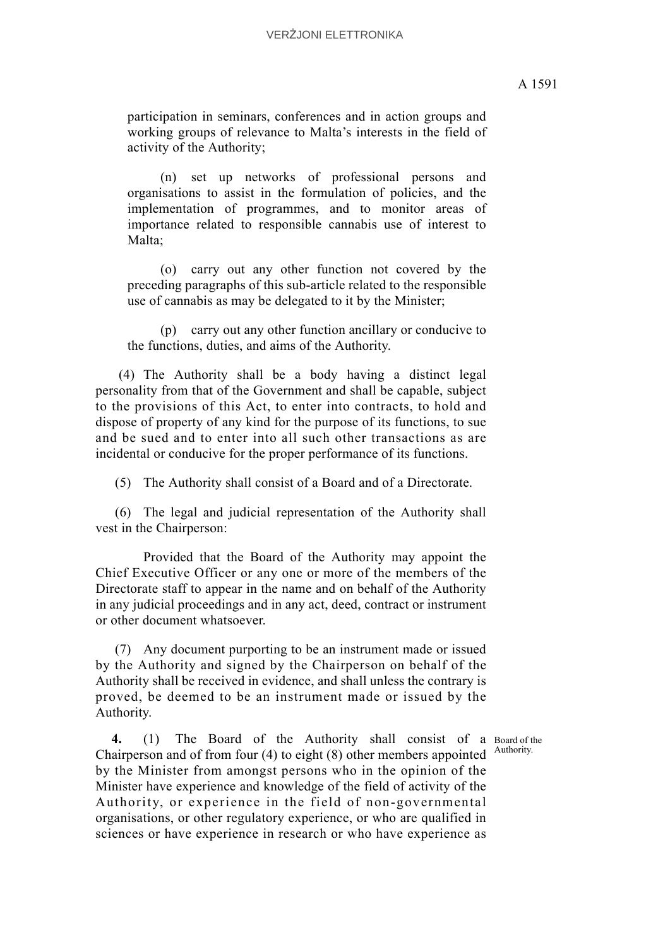(n) set up networks of professional persons and organisations to assist in the formulation of policies, and the implementation of programmes, and to monitor areas of importance related to responsible cannabis use of interest to Malta;

(o) carry out any other function not covered by the preceding paragraphs of this sub-article related to the responsible use of cannabis as may be delegated to it by the Minister;

(p) carry out any other function ancillary or conducive to the functions, duties, and aims of the Authority.

 (4) The Authority shall be a body having a distinct legal personality from that of the Government and shall be capable, subject to the provisions of this Act, to enter into contracts, to hold and dispose of property of any kind for the purpose of its functions, to sue and be sued and to enter into all such other transactions as are incidental or conducive for the proper performance of its functions.

(5) The Authority shall consist of a Board and of a Directorate.

 (6) The legal and judicial representation of the Authority shall vest in the Chairperson:

Provided that the Board of the Authority may appoint the Chief Executive Officer or any one or more of the members of the Directorate staff to appear in the name and on behalf of the Authority in any judicial proceedings and in any act, deed, contract or instrument or other document whatsoever.

 (7) Any document purporting to be an instrument made or issued by the Authority and signed by the Chairperson on behalf of the Authority shall be received in evidence, and shall unless the contrary is proved, be deemed to be an instrument made or issued by the Authority.

Authority.

4. (1) The Board of the Authority shall consist of a Board of the Chairperson and of from four (4) to eight (8) other members appointed by the Minister from amongst persons who in the opinion of the Minister have experience and knowledge of the field of activity of the Authority, or experience in the field of non-governmental organisations, or other regulatory experience, or who are qualified in sciences or have experience in research or who have experience as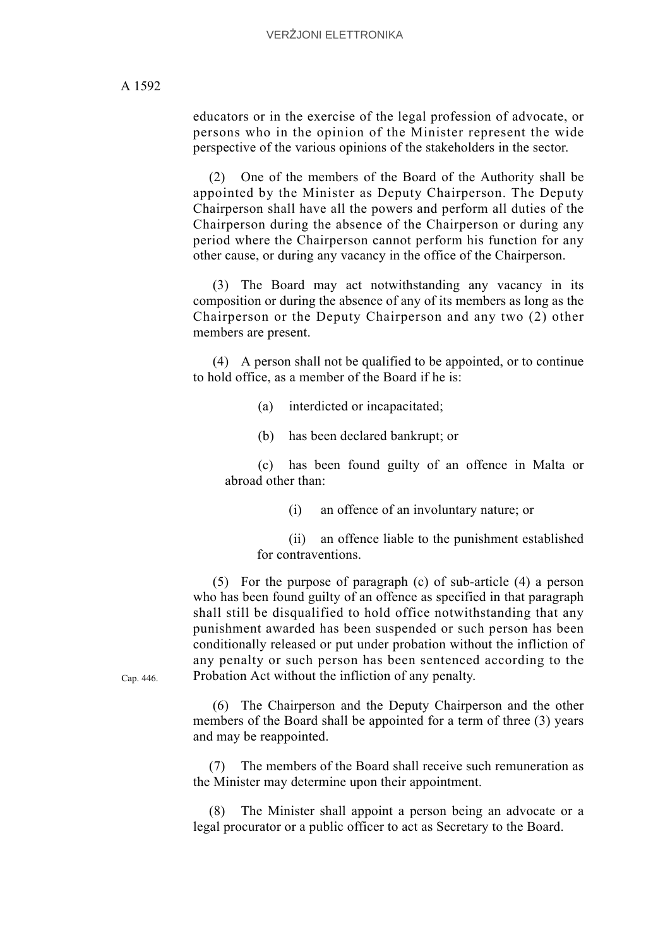educators or in the exercise of the legal profession of advocate, or persons who in the opinion of the Minister represent the wide perspective of the various opinions of the stakeholders in the sector.

(2) One of the members of the Board of the Authority shall be appointed by the Minister as Deputy Chairperson. The Deputy Chairperson shall have all the powers and perform all duties of the Chairperson during the absence of the Chairperson or during any period where the Chairperson cannot perform his function for any other cause, or during any vacancy in the office of the Chairperson.

 (3) The Board may act notwithstanding any vacancy in its composition or during the absence of any of its members as long as the Chairperson or the Deputy Chairperson and any two (2) other members are present.

 (4) A person shall not be qualified to be appointed, or to continue to hold office, as a member of the Board if he is:

(a) interdicted or incapacitated;

(b) has been declared bankrupt; or

(c) has been found guilty of an offence in Malta or abroad other than:

(i) an offence of an involuntary nature; or

(ii) an offence liable to the punishment established for contraventions.

 (5) For the purpose of paragraph (c) of sub-article (4) a person who has been found guilty of an offence as specified in that paragraph shall still be disqualified to hold office notwithstanding that any punishment awarded has been suspended or such person has been conditionally released or put under probation without the infliction of any penalty or such person has been sentenced according to the Probation Act without the infliction of any penalty.

Cap. 446.

 (6) The Chairperson and the Deputy Chairperson and the other members of the Board shall be appointed for a term of three (3) years and may be reappointed.

(7) The members of the Board shall receive such remuneration as the Minister may determine upon their appointment.

(8) The Minister shall appoint a person being an advocate or a legal procurator or a public officer to act as Secretary to the Board.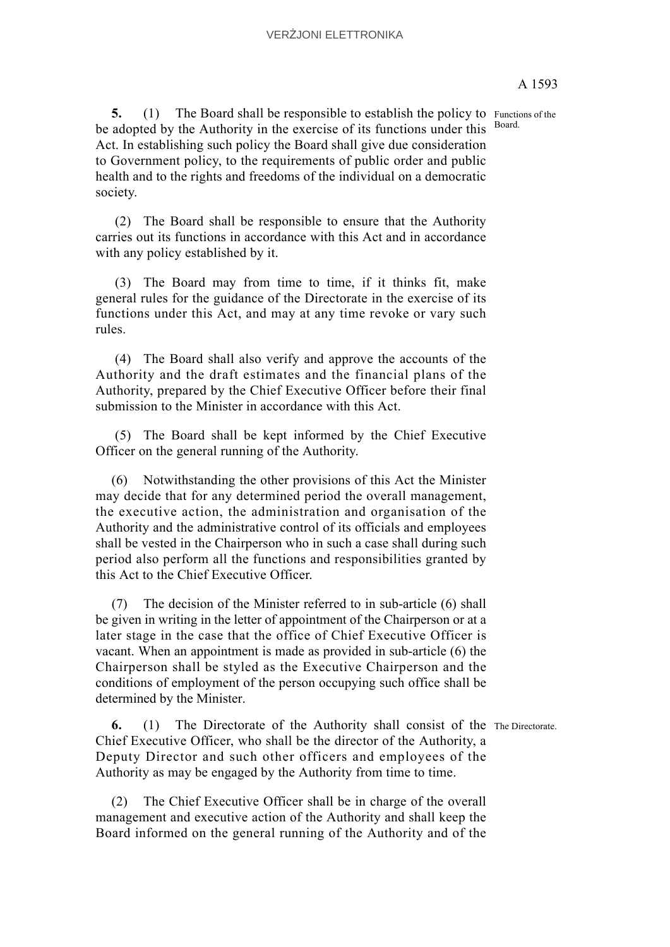Board.

5. (1) The Board shall be responsible to establish the policy to Functions of the be adopted by the Authority in the exercise of its functions under this Act. In establishing such policy the Board shall give due consideration to Government policy, to the requirements of public order and public health and to the rights and freedoms of the individual on a democratic society.

 (2) The Board shall be responsible to ensure that the Authority carries out its functions in accordance with this Act and in accordance with any policy established by it.

 (3) The Board may from time to time, if it thinks fit, make general rules for the guidance of the Directorate in the exercise of its functions under this Act, and may at any time revoke or vary such rules.

 (4) The Board shall also verify and approve the accounts of the Authority and the draft estimates and the financial plans of the Authority, prepared by the Chief Executive Officer before their final submission to the Minister in accordance with this Act.

 (5) The Board shall be kept informed by the Chief Executive Officer on the general running of the Authority.

(6) Notwithstanding the other provisions of this Act the Minister may decide that for any determined period the overall management, the executive action, the administration and organisation of the Authority and the administrative control of its officials and employees shall be vested in the Chairperson who in such a case shall during such period also perform all the functions and responsibilities granted by this Act to the Chief Executive Officer.

(7) The decision of the Minister referred to in sub-article (6) shall be given in writing in the letter of appointment of the Chairperson or at a later stage in the case that the office of Chief Executive Officer is vacant. When an appointment is made as provided in sub-article (6) the Chairperson shall be styled as the Executive Chairperson and the conditions of employment of the person occupying such office shall be determined by the Minister.

**6.** (1) The Directorate of the Authority shall consist of the The Directorate. Chief Executive Officer, who shall be the director of the Authority, a Deputy Director and such other officers and employees of the Authority as may be engaged by the Authority from time to time.

(2) The Chief Executive Officer shall be in charge of the overall management and executive action of the Authority and shall keep the Board informed on the general running of the Authority and of the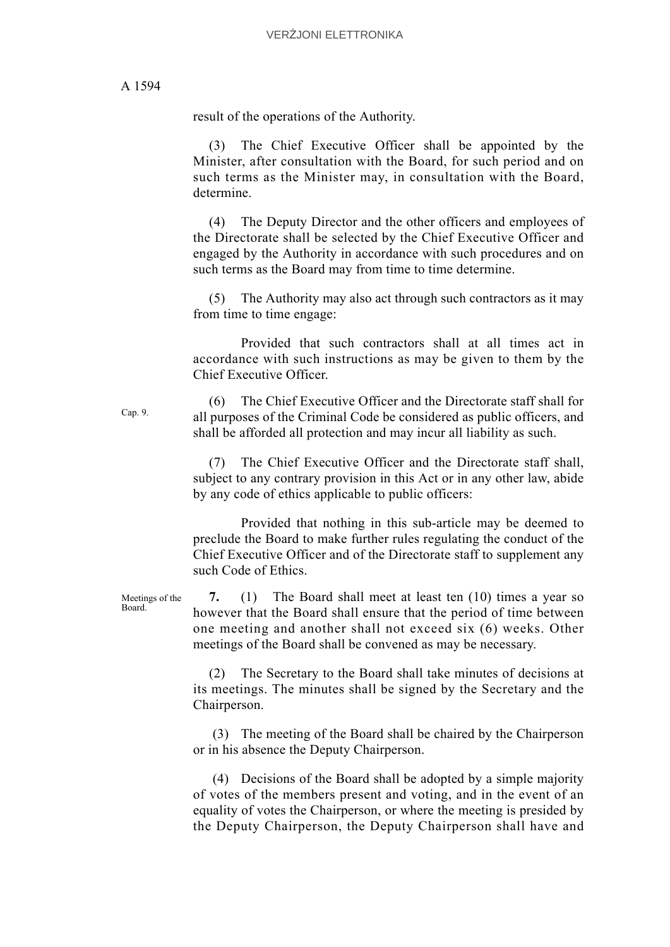result of the operations of the Authority.

The Chief Executive Officer shall be appointed by the Minister, after consultation with the Board, for such period and on such terms as the Minister may, in consultation with the Board, determine.

(4) The Deputy Director and the other officers and employees of the Directorate shall be selected by the Chief Executive Officer and engaged by the Authority in accordance with such procedures and on such terms as the Board may from time to time determine.

The Authority may also act through such contractors as it may from time to time engage:

Provided that such contractors shall at all times act in accordance with such instructions as may be given to them by the Chief Executive Officer.

(6) The Chief Executive Officer and the Directorate staff shall for all purposes of the Criminal Code be considered as public officers, and shall be afforded all protection and may incur all liability as such.

(7) The Chief Executive Officer and the Directorate staff shall, subject to any contrary provision in this Act or in any other law, abide by any code of ethics applicable to public officers:

Provided that nothing in this sub-article may be deemed to preclude the Board to make further rules regulating the conduct of the Chief Executive Officer and of the Directorate staff to supplement any such Code of Ethics.

Meetings of the **7.** (1) The Board shall meet at least ten (10) times a year so however that the Board shall ensure that the period of time between one meeting and another shall not exceed six (6) weeks. Other meetings of the Board shall be convened as may be necessary.

> (2) The Secretary to the Board shall take minutes of decisions at its meetings. The minutes shall be signed by the Secretary and the Chairperson.

> (3) The meeting of the Board shall be chaired by the Chairperson or in his absence the Deputy Chairperson.

> (4) Decisions of the Board shall be adopted by a simple majority of votes of the members present and voting, and in the event of an equality of votes the Chairperson, or where the meeting is presided by the Deputy Chairperson, the Deputy Chairperson shall have and

Cap. 9.

Board.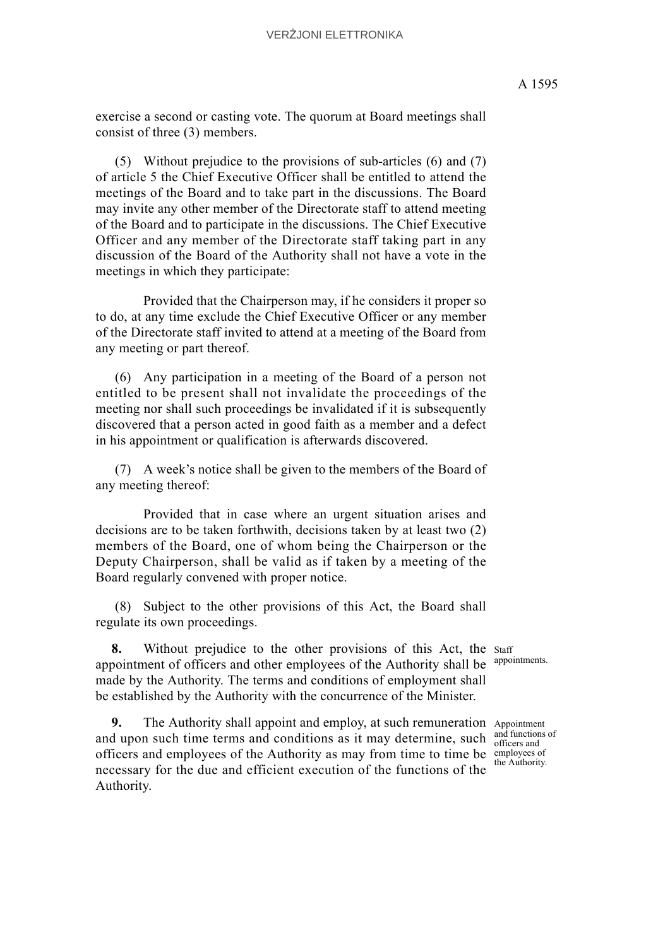(5) Without prejudice to the provisions of sub-articles (6) and (7) of article 5 the Chief Executive Officer shall be entitled to attend the meetings of the Board and to take part in the discussions. The Board may invite any other member of the Directorate staff to attend meeting of the Board and to participate in the discussions. The Chief Executive Officer and any member of the Directorate staff taking part in any discussion of the Board of the Authority shall not have a vote in the meetings in which they participate:

Provided that the Chairperson may, if he considers it proper so to do, at any time exclude the Chief Executive Officer or any member of the Directorate staff invited to attend at a meeting of the Board from any meeting or part thereof.

 (6) Any participation in a meeting of the Board of a person not entitled to be present shall not invalidate the proceedings of the meeting nor shall such proceedings be invalidated if it is subsequently discovered that a person acted in good faith as a member and a defect in his appointment or qualification is afterwards discovered.

 (7) A week's notice shall be given to the members of the Board of any meeting thereof:

Provided that in case where an urgent situation arises and decisions are to be taken forthwith, decisions taken by at least two (2) members of the Board, one of whom being the Chairperson or the Deputy Chairperson, shall be valid as if taken by a meeting of the Board regularly convened with proper notice.

 (8) Subject to the other provisions of this Act, the Board shall regulate its own proceedings.

8. Without prejudice to the other provisions of this Act, the staff appointment of officers and other employees of the Authority shall be made by the Authority. The terms and conditions of employment shall be established by the Authority with the concurrence of the Minister.

**9.** The Authority shall appoint and employ, at such remuneration Appointment and upon such time terms and conditions as it may determine, such  $\frac{d}{d}$  and function officers and employees of the Authority as may from time to time be employees of necessary for the due and efficient execution of the functions of the Authority.

appointments.

and functions of the Authority.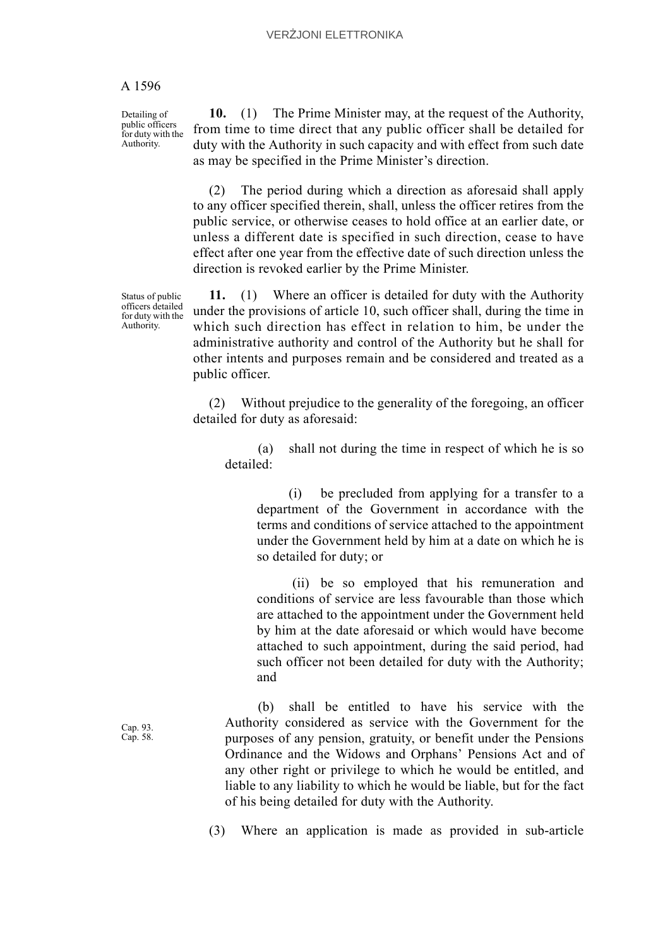Detailing of public officers for duty with the Authority.

**10.** (1) The Prime Minister may, at the request of the Authority, from time to time direct that any public officer shall be detailed for duty with the Authority in such capacity and with effect from such date as may be specified in the Prime Minister's direction.

(2) The period during which a direction as aforesaid shall apply to any officer specified therein, shall, unless the officer retires from the public service, or otherwise ceases to hold office at an earlier date, or unless a different date is specified in such direction, cease to have effect after one year from the effective date of such direction unless the direction is revoked earlier by the Prime Minister.

Status of public officers detailed for duty with the Authority.

**11.** (1) Where an officer is detailed for duty with the Authority under the provisions of article 10, such officer shall, during the time in which such direction has effect in relation to him, be under the administrative authority and control of the Authority but he shall for other intents and purposes remain and be considered and treated as a public officer.

(2) Without prejudice to the generality of the foregoing, an officer detailed for duty as aforesaid:

(a) shall not during the time in respect of which he is so detailed:

(i) be precluded from applying for a transfer to a department of the Government in accordance with the terms and conditions of service attached to the appointment under the Government held by him at a date on which he is so detailed for duty; or

 (ii) be so employed that his remuneration and conditions of service are less favourable than those which are attached to the appointment under the Government held by him at the date aforesaid or which would have become attached to such appointment, during the said period, had such officer not been detailed for duty with the Authority; and

(b) shall be entitled to have his service with the Authority considered as service with the Government for the purposes of any pension, gratuity, or benefit under the Pensions Ordinance and the Widows and Orphans' Pensions Act and of any other right or privilege to which he would be entitled, and liable to any liability to which he would be liable, but for the fact of his being detailed for duty with the Authority.

(3) Where an application is made as provided in sub-article

Cap. 93. Cap. 58.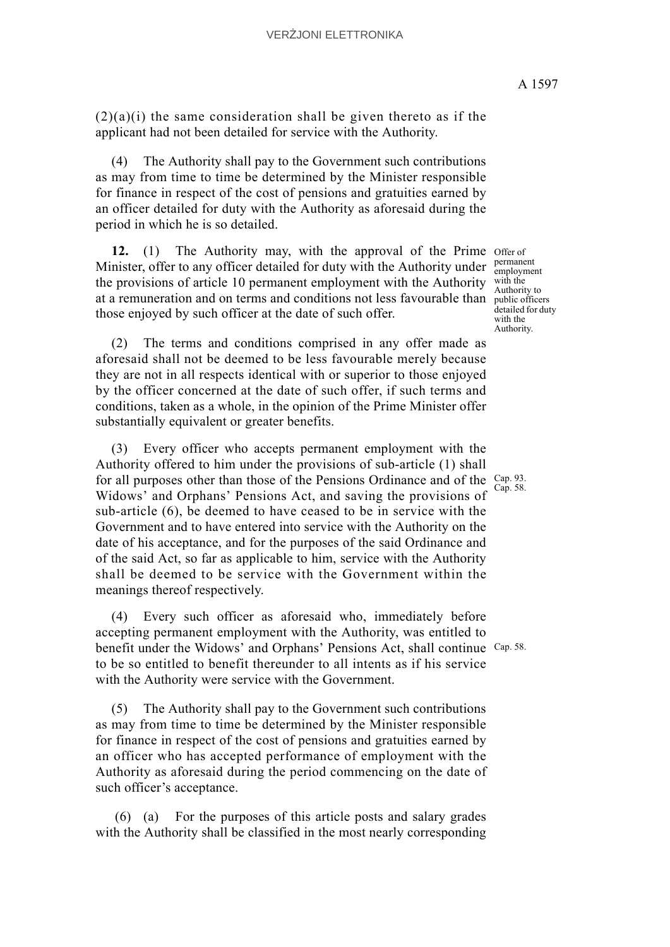$(2)(a)(i)$  the same consideration shall be given thereto as if the applicant had not been detailed for service with the Authority.

(4) The Authority shall pay to the Government such contributions as may from time to time be determined by the Minister responsible for finance in respect of the cost of pensions and gratuities earned by an officer detailed for duty with the Authority as aforesaid during the period in which he is so detailed.

12. (1) The Authority may, with the approval of the Prime offer of Minister, offer to any officer detailed for duty with the Authority under  $\frac{\text{permant}}{\text{employment}}$ the provisions of article 10 permanent employment with the Authority with the at a remuneration and on terms and conditions not less favourable than  $\frac{1}{\text{public officers}}$ those enjoyed by such officer at the date of such offer.

(2) The terms and conditions comprised in any offer made as aforesaid shall not be deemed to be less favourable merely because they are not in all respects identical with or superior to those enjoyed by the officer concerned at the date of such offer, if such terms and conditions, taken as a whole, in the opinion of the Prime Minister offer substantially equivalent or greater benefits.

for all purposes other than those of the Pensions Ordinance and of the  $\frac{Cap. 93}{Gen. 58}$ (3) Every officer who accepts permanent employment with the Authority offered to him under the provisions of sub-article (1) shall Widows' and Orphans' Pensions Act, and saving the provisions of sub-article (6), be deemed to have ceased to be in service with the Government and to have entered into service with the Authority on the date of his acceptance, and for the purposes of the said Ordinance and of the said Act, so far as applicable to him, service with the Authority shall be deemed to be service with the Government within the meanings thereof respectively.

benefit under the Widows' and Orphans' Pensions Act, shall continue Cap. 58. (4) Every such officer as aforesaid who, immediately before accepting permanent employment with the Authority, was entitled to to be so entitled to benefit thereunder to all intents as if his service with the Authority were service with the Government.

(5) The Authority shall pay to the Government such contributions as may from time to time be determined by the Minister responsible for finance in respect of the cost of pensions and gratuities earned by an officer who has accepted performance of employment with the Authority as aforesaid during the period commencing on the date of such officer's acceptance.

 (6) (a) For the purposes of this article posts and salary grades with the Authority shall be classified in the most nearly corresponding

permanent Authority to detailed for duty with the Authority.

Cap. 58.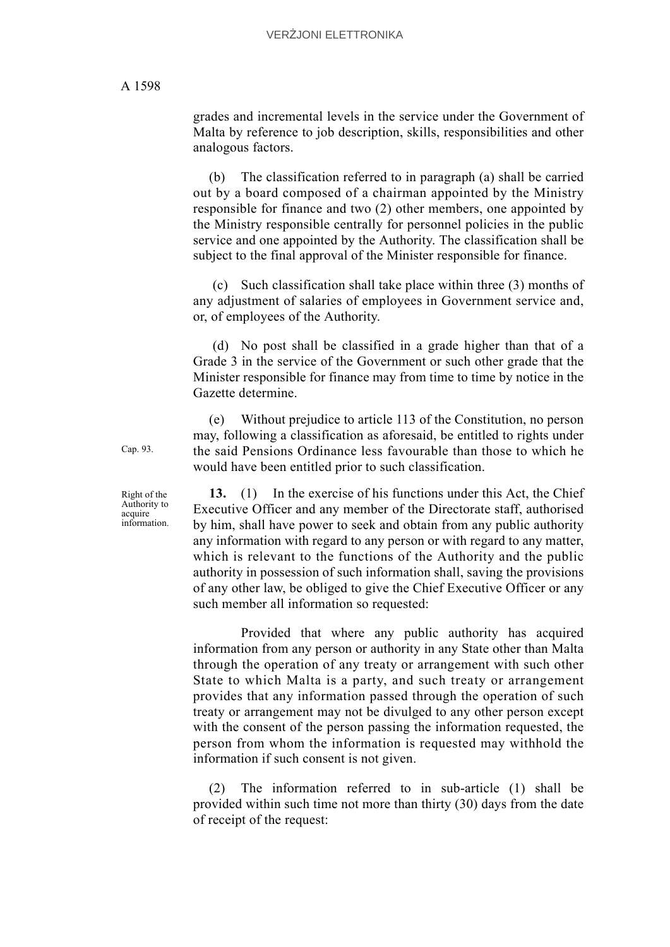grades and incremental levels in the service under the Government of Malta by reference to job description, skills, responsibilities and other analogous factors.

(b) The classification referred to in paragraph (a) shall be carried out by a board composed of a chairman appointed by the Ministry responsible for finance and two (2) other members, one appointed by the Ministry responsible centrally for personnel policies in the public service and one appointed by the Authority. The classification shall be subject to the final approval of the Minister responsible for finance.

 (c) Such classification shall take place within three (3) months of any adjustment of salaries of employees in Government service and, or, of employees of the Authority.

 (d) No post shall be classified in a grade higher than that of a Grade 3 in the service of the Government or such other grade that the Minister responsible for finance may from time to time by notice in the Gazette determine.

(e) Without prejudice to article 113 of the Constitution, no person may, following a classification as aforesaid, be entitled to rights under the said Pensions Ordinance less favourable than those to which he would have been entitled prior to such classification.

**13.** (1) In the exercise of his functions under this Act, the Chief Executive Officer and any member of the Directorate staff, authorised by him, shall have power to seek and obtain from any public authority any information with regard to any person or with regard to any matter, which is relevant to the functions of the Authority and the public authority in possession of such information shall, saving the provisions of any other law, be obliged to give the Chief Executive Officer or any such member all information so requested:

Provided that where any public authority has acquired information from any person or authority in any State other than Malta through the operation of any treaty or arrangement with such other State to which Malta is a party, and such treaty or arrangement provides that any information passed through the operation of such treaty or arrangement may not be divulged to any other person except with the consent of the person passing the information requested, the person from whom the information is requested may withhold the information if such consent is not given.

(2) The information referred to in sub-article (1) shall be provided within such time not more than thirty (30) days from the date of receipt of the request:

Cap. 93.

Right of the Authority to acquire information.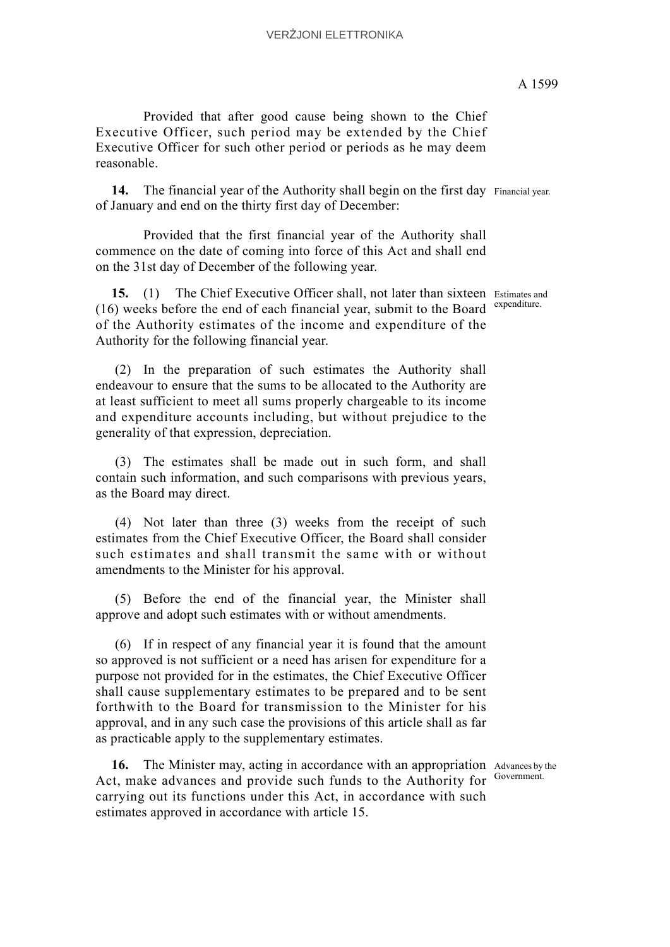Provided that after good cause being shown to the Chief Executive Officer, such period may be extended by the Chief Executive Officer for such other period or periods as he may deem reasonable.

14. The financial year of the Authority shall begin on the first day Financial year. of January and end on the thirty first day of December:

Provided that the first financial year of the Authority shall commence on the date of coming into force of this Act and shall end on the 31st day of December of the following year.

15. (1) The Chief Executive Officer shall, not later than sixteen Estimates and  $(16)$  weeks before the end of each financial year, submit to the Board expenditure. of the Authority estimates of the income and expenditure of the Authority for the following financial year.

 (2) In the preparation of such estimates the Authority shall endeavour to ensure that the sums to be allocated to the Authority are at least sufficient to meet all sums properly chargeable to its income and expenditure accounts including, but without prejudice to the generality of that expression, depreciation.

 (3) The estimates shall be made out in such form, and shall contain such information, and such comparisons with previous years, as the Board may direct.

 (4) Not later than three (3) weeks from the receipt of such estimates from the Chief Executive Officer, the Board shall consider such estimates and shall transmit the same with or without amendments to the Minister for his approval.

 (5) Before the end of the financial year, the Minister shall approve and adopt such estimates with or without amendments.

 (6) If in respect of any financial year it is found that the amount so approved is not sufficient or a need has arisen for expenditure for a purpose not provided for in the estimates, the Chief Executive Officer shall cause supplementary estimates to be prepared and to be sent forthwith to the Board for transmission to the Minister for his approval, and in any such case the provisions of this article shall as far as practicable apply to the supplementary estimates.

16. The Minister may, acting in accordance with an appropriation Advances by the Act, make advances and provide such funds to the Authority for carrying out its functions under this Act, in accordance with such estimates approved in accordance with article 15.

Government.

A 1599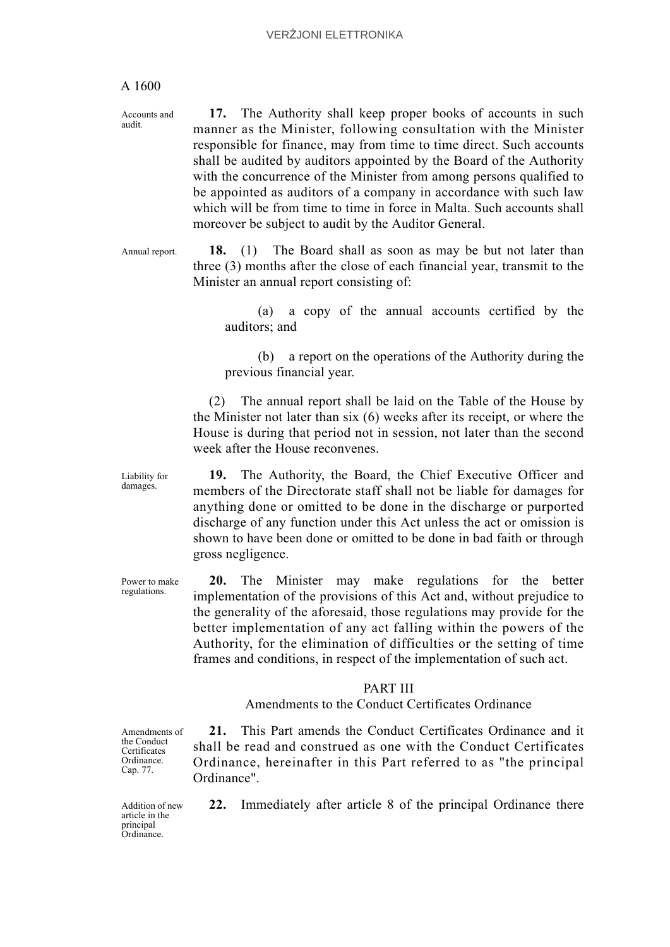Accounts and audit.

**17.** The Authority shall keep proper books of accounts in such manner as the Minister, following consultation with the Minister responsible for finance, may from time to time direct. Such accounts shall be audited by auditors appointed by the Board of the Authority with the concurrence of the Minister from among persons qualified to be appointed as auditors of a company in accordance with such law which will be from time to time in force in Malta. Such accounts shall moreover be subject to audit by the Auditor General.

Annual report. **18.** (1) The Board shall as soon as may be but not later than three (3) months after the close of each financial year, transmit to the Minister an annual report consisting of:

> (a) a copy of the annual accounts certified by the auditors; and

> (b) a report on the operations of the Authority during the previous financial year.

(2) The annual report shall be laid on the Table of the House by the Minister not later than six (6) weeks after its receipt, or where the House is during that period not in session, not later than the second week after the House reconvenes.

**19.** The Authority, the Board, the Chief Executive Officer and members of the Directorate staff shall not be liable for damages for anything done or omitted to be done in the discharge or purported discharge of any function under this Act unless the act or omission is shown to have been done or omitted to be done in bad faith or through gross negligence.

**20.** The Minister may make regulations for the better implementation of the provisions of this Act and, without prejudice to the generality of the aforesaid, those regulations may provide for the better implementation of any act falling within the powers of the Authority, for the elimination of difficulties or the setting of time frames and conditions, in respect of the implementation of such act.

#### PART III

Amendments to the Conduct Certificates Ordinance

Amendments of the Conduct **Certificates** Ordinance. Cap. 77.

**21.** This Part amends the Conduct Certificates Ordinance and it shall be read and construed as one with the Conduct Certificates Ordinance, hereinafter in this Part referred to as "the principal Ordinance".

Addition of new article in the principal Ordinance.

**22.** Immediately after article 8 of the principal Ordinance there

Liability for damages.

Power to make regulations.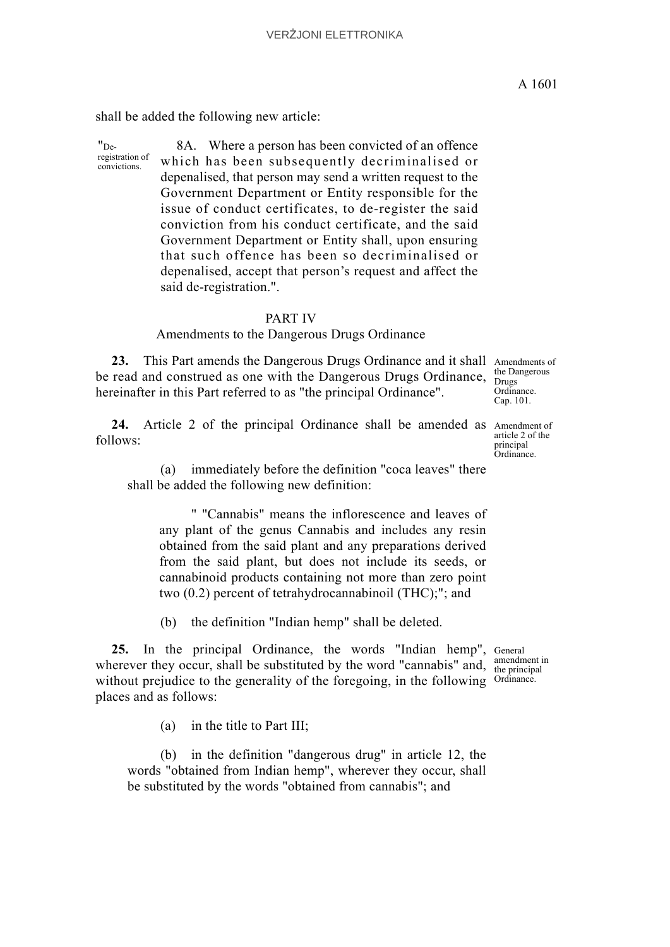shall be added the following new article:

"De-

registration of convictions. 8A. Where a person has been convicted of an offence which has been subsequently decriminalised or depenalised, that person may send a written request to the Government Department or Entity responsible for the issue of conduct certificates, to de-register the said conviction from his conduct certificate, and the said Government Department or Entity shall, upon ensuring that such offence has been so decriminalised or depenalised, accept that person's request and affect the said de-registration.".

#### PART IV

#### Amendments to the Dangerous Drugs Ordinance

23. This Part amends the Dangerous Drugs Ordinance and it shall Amendments of be read and construed as one with the Dangerous Drugs Ordinance, hereinafter in this Part referred to as "the principal Ordinance".

24. Article 2 of the principal Ordinance shall be amended as Amendment of follows:

article 2 of the principal Ordinance.

the Dangerous Drugs Ordinance. Cap. 101.

(a) immediately before the definition "coca leaves" there shall be added the following new definition:

" "Cannabis" means the inflorescence and leaves of any plant of the genus Cannabis and includes any resin obtained from the said plant and any preparations derived from the said plant, but does not include its seeds, or cannabinoid products containing not more than zero point two (0.2) percent of tetrahydrocannabinoil (THC);"; and

(b) the definition "Indian hemp" shall be deleted.

25. In the principal Ordinance, the words "Indian hemp", General wherever they occur, shall be substituted by the word "cannabis" and,  $\frac{\text{amendment 1}}{\text{the principal}}$ without prejudice to the generality of the foregoing, in the following Ordinance. places and as follows:

(a) in the title to Part III;

(b) in the definition "dangerous drug" in article 12, the words "obtained from Indian hemp", wherever they occur, shall be substituted by the words "obtained from cannabis"; and

A 1601

amendment in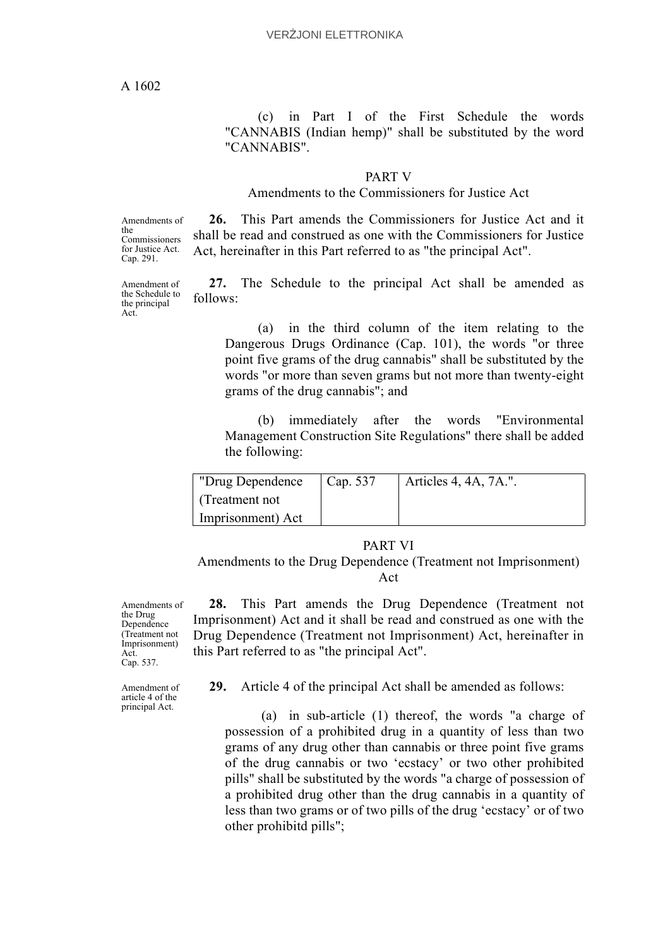(c) in Part I of the First Schedule the words "CANNABIS (Indian hemp)" shall be substituted by the word "CANNABIS".

#### PART V

## Amendments to the Commissioners for Justice Act

Amendments of the Commissioners for Justice Act. Cap. 291.

Amendment of the Schedule to the principal Act.

**26.** This Part amends the Commissioners for Justice Act and it shall be read and construed as one with the Commissioners for Justice Act, hereinafter in this Part referred to as "the principal Act".

**27.** The Schedule to the principal Act shall be amended as follows:

(a) in the third column of the item relating to the Dangerous Drugs Ordinance (Cap. 101), the words "or three point five grams of the drug cannabis" shall be substituted by the words "or more than seven grams but not more than twenty-eight grams of the drug cannabis"; and

(b) immediately after the words "Environmental Management Construction Site Regulations" there shall be added the following:

| "Drug Dependence" | Cap. 537 | Articles 4, 4A, 7A.". |
|-------------------|----------|-----------------------|
| l (Treatment not  |          |                       |
| Imprisonment) Act |          |                       |

# PART VI

Amendments to the Drug Dependence (Treatment not Imprisonment) Act

Amendments of the Drug Dependence (Treatment not Imprisonment) Act. Cap. 537.

Amendment of article 4 of the principal Act.

- **28.** This Part amends the Drug Dependence (Treatment not Imprisonment) Act and it shall be read and construed as one with the Drug Dependence (Treatment not Imprisonment) Act, hereinafter in this Part referred to as "the principal Act".
	- **29.** Article 4 of the principal Act shall be amended as follows:

 (a) in sub-article (1) thereof, the words "a charge of possession of a prohibited drug in a quantity of less than two grams of any drug other than cannabis or three point five grams of the drug cannabis or two 'ecstacy' or two other prohibited pills" shall be substituted by the words "a charge of possession of a prohibited drug other than the drug cannabis in a quantity of less than two grams or of two pills of the drug 'ecstacy' or of two other prohibitd pills";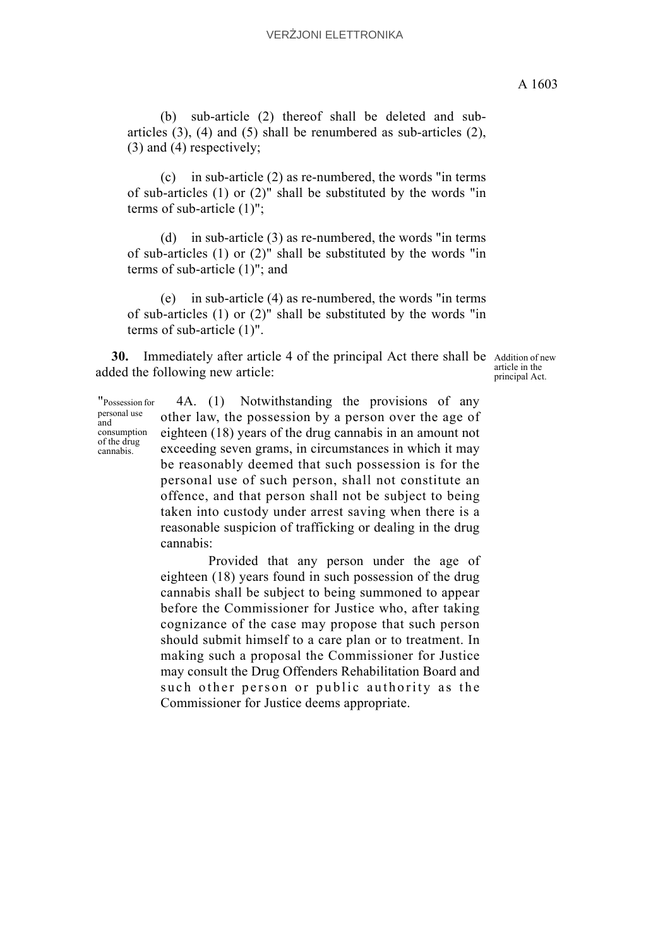(b) sub-article (2) thereof shall be deleted and subarticles (3), (4) and (5) shall be renumbered as sub-articles (2), (3) and (4) respectively;

(c) in sub-article (2) as re-numbered, the words "in terms of sub-articles (1) or (2)" shall be substituted by the words "in terms of sub-article (1)";

(d) in sub-article (3) as re-numbered, the words "in terms of sub-articles (1) or (2)" shall be substituted by the words "in terms of sub-article (1)"; and

(e) in sub-article (4) as re-numbered, the words "in terms of sub-articles (1) or (2)" shall be substituted by the words "in terms of sub-article (1)".

**30.** Immediately after article 4 of the principal Act there shall be Addition of new added the following new article:

article in the principal Act.

"Possession for personal use and consumption of the drug cannabis.

4A. (1) Notwithstanding the provisions of any other law, the possession by a person over the age of eighteen (18) years of the drug cannabis in an amount not exceeding seven grams, in circumstances in which it may be reasonably deemed that such possession is for the personal use of such person, shall not constitute an offence, and that person shall not be subject to being taken into custody under arrest saving when there is a reasonable suspicion of trafficking or dealing in the drug cannabis:

Provided that any person under the age of eighteen (18) years found in such possession of the drug cannabis shall be subject to being summoned to appear before the Commissioner for Justice who, after taking cognizance of the case may propose that such person should submit himself to a care plan or to treatment. In making such a proposal the Commissioner for Justice may consult the Drug Offenders Rehabilitation Board and such other person or public authority as the Commissioner for Justice deems appropriate.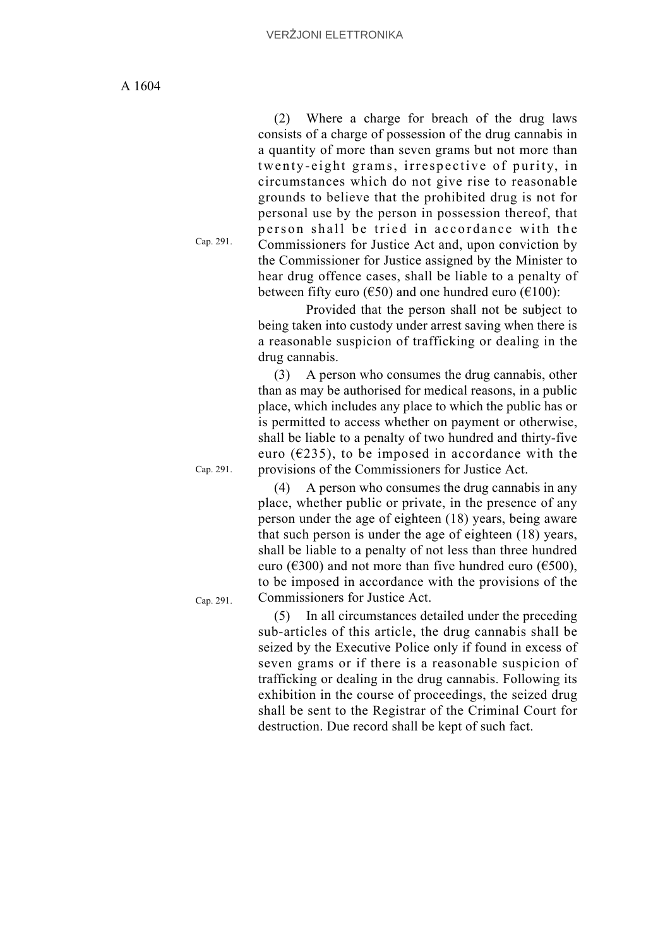(2) Where a charge for breach of the drug laws consists of a charge of possession of the drug cannabis in a quantity of more than seven grams but not more than twenty-eight grams, irrespective of purity, in circumstances which do not give rise to reasonable grounds to believe that the prohibited drug is not for personal use by the person in possession thereof, that person shall be tried in accordance with the Commissioners for Justice Act and, upon conviction by the Commissioner for Justice assigned by the Minister to hear drug offence cases, shall be liable to a penalty of between fifty euro ( $\epsilon$ 50) and one hundred euro ( $\epsilon$ 100):

Provided that the person shall not be subject to being taken into custody under arrest saving when there is a reasonable suspicion of trafficking or dealing in the drug cannabis.

(3) A person who consumes the drug cannabis, other than as may be authorised for medical reasons, in a public place, which includes any place to which the public has or is permitted to access whether on payment or otherwise, shall be liable to a penalty of two hundred and thirty-five euro ( $\epsilon$ 235), to be imposed in accordance with the provisions of the Commissioners for Justice Act.

(4) A person who consumes the drug cannabis in any place, whether public or private, in the presence of any person under the age of eighteen (18) years, being aware that such person is under the age of eighteen (18) years, shall be liable to a penalty of not less than three hundred euro ( $\epsilon$ 300) and not more than five hundred euro ( $\epsilon$ 500), to be imposed in accordance with the provisions of the Commissioners for Justice Act.

Cap. 291.

Cap. 291.

(5) In all circumstances detailed under the preceding sub-articles of this article, the drug cannabis shall be seized by the Executive Police only if found in excess of seven grams or if there is a reasonable suspicion of trafficking or dealing in the drug cannabis. Following its exhibition in the course of proceedings, the seized drug shall be sent to the Registrar of the Criminal Court for destruction. Due record shall be kept of such fact.

Cap. 291.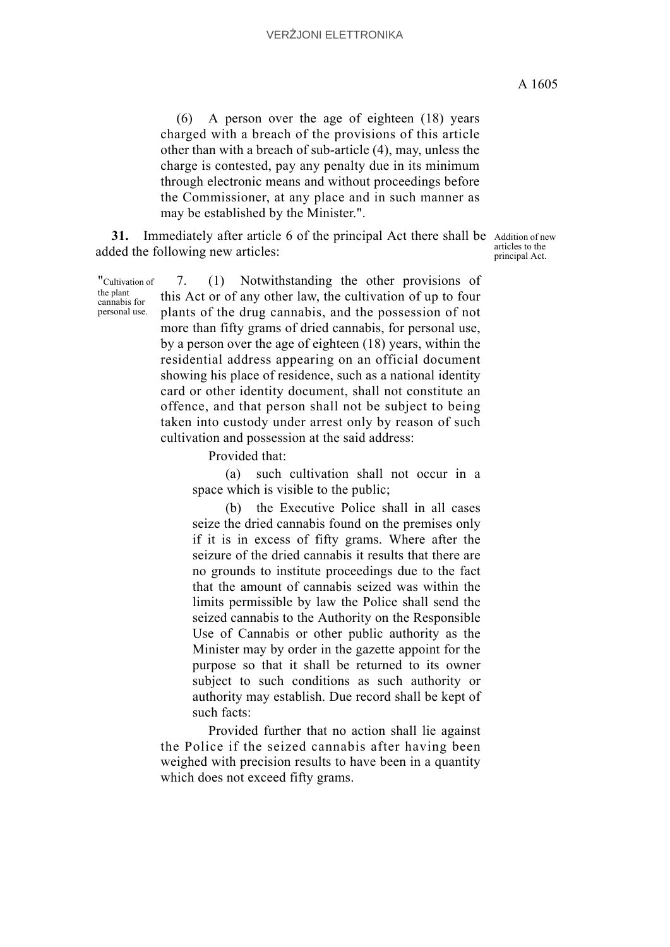(6) A person over the age of eighteen (18) years charged with a breach of the provisions of this article other than with a breach of sub-article (4), may, unless the charge is contested, pay any penalty due in its minimum through electronic means and without proceedings before the Commissioner, at any place and in such manner as may be established by the Minister.".

31. Immediately after article 6 of the principal Act there shall be Addition of new added the following new articles:

articles to the principal Act.

"Cultivation of the plant cannabis for personal use.

7. (1) Notwithstanding the other provisions of this Act or of any other law, the cultivation of up to four plants of the drug cannabis, and the possession of not more than fifty grams of dried cannabis, for personal use, by a person over the age of eighteen (18) years, within the residential address appearing on an official document showing his place of residence, such as a national identity card or other identity document, shall not constitute an offence, and that person shall not be subject to being taken into custody under arrest only by reason of such cultivation and possession at the said address:

Provided that:

(a) such cultivation shall not occur in a space which is visible to the public;

(b) the Executive Police shall in all cases seize the dried cannabis found on the premises only if it is in excess of fifty grams. Where after the seizure of the dried cannabis it results that there are no grounds to institute proceedings due to the fact that the amount of cannabis seized was within the limits permissible by law the Police shall send the seized cannabis to the Authority on the Responsible Use of Cannabis or other public authority as the Minister may by order in the gazette appoint for the purpose so that it shall be returned to its owner subject to such conditions as such authority or authority may establish. Due record shall be kept of such facts:

Provided further that no action shall lie against the Police if the seized cannabis after having been weighed with precision results to have been in a quantity which does not exceed fifty grams.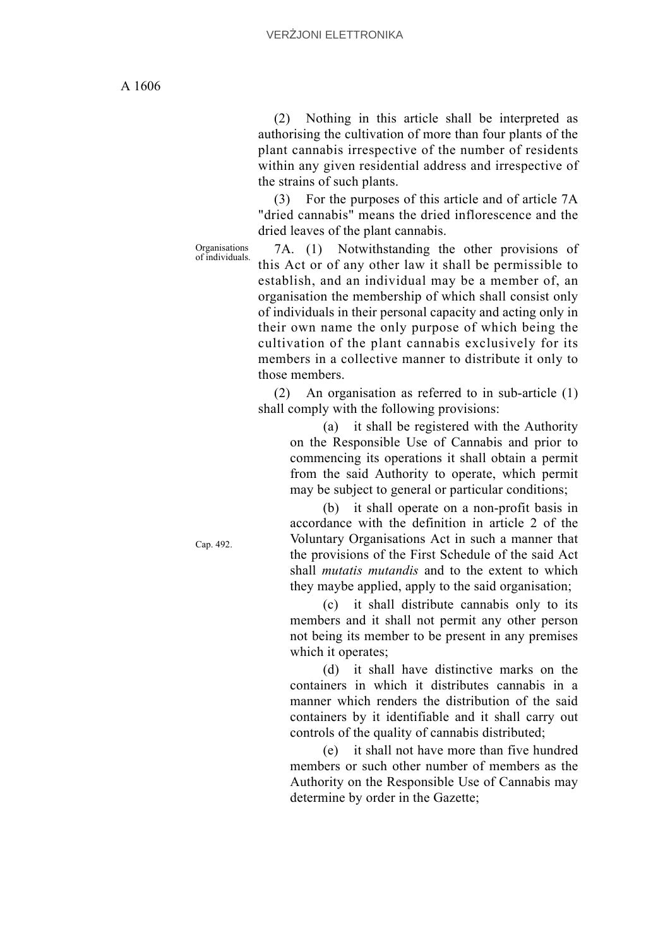(2) Nothing in this article shall be interpreted as authorising the cultivation of more than four plants of the plant cannabis irrespective of the number of residents within any given residential address and irrespective of the strains of such plants.

(3) For the purposes of this article and of article 7A "dried cannabis" means the dried inflorescence and the dried leaves of the plant cannabis.

Organisations

7A. (1) Notwithstanding the other provisions of this Act or of any other law it shall be permissible to establish, and an individual may be a member of, an organisation the membership of which shall consist only of individuals in their personal capacity and acting only in their own name the only purpose of which being the cultivation of the plant cannabis exclusively for its members in a collective manner to distribute it only to those members.

(2) An organisation as referred to in sub-article (1) shall comply with the following provisions:

(a) it shall be registered with the Authority on the Responsible Use of Cannabis and prior to commencing its operations it shall obtain a permit from the said Authority to operate, which permit may be subject to general or particular conditions;

(b) it shall operate on a non-profit basis in accordance with the definition in article 2 of the Voluntary Organisations Act in such a manner that the provisions of the First Schedule of the said Act shall *mutatis mutandis* and to the extent to which they maybe applied, apply to the said organisation;

(c) it shall distribute cannabis only to its members and it shall not permit any other person not being its member to be present in any premises which it operates;

(d) it shall have distinctive marks on the containers in which it distributes cannabis in a manner which renders the distribution of the said containers by it identifiable and it shall carry out controls of the quality of cannabis distributed;

(e) it shall not have more than five hundred members or such other number of members as the Authority on the Responsible Use of Cannabis may determine by order in the Gazette;

Cap. 492.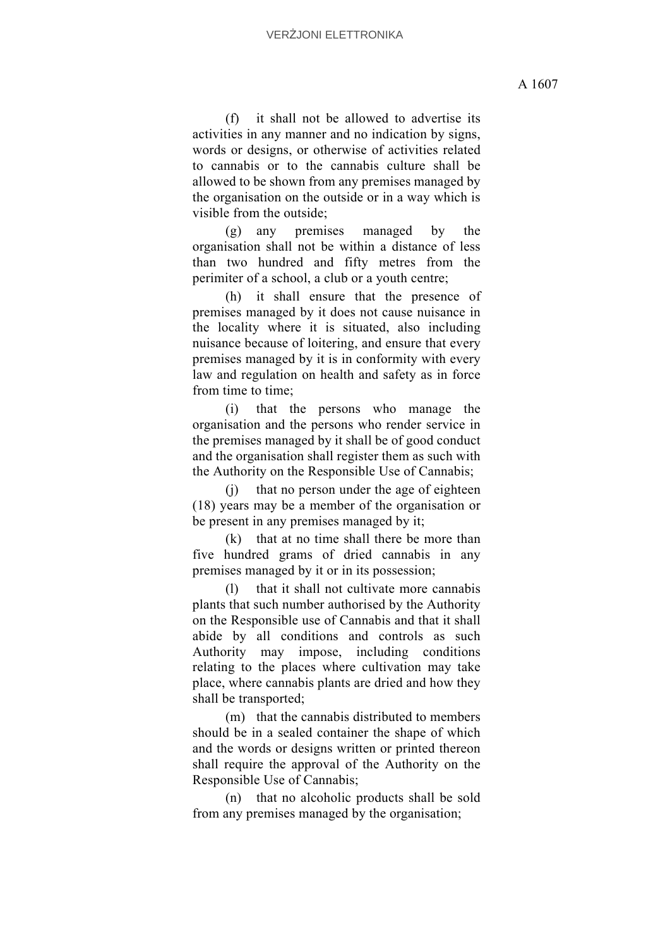(f) it shall not be allowed to advertise its activities in any manner and no indication by signs, words or designs, or otherwise of activities related to cannabis or to the cannabis culture shall be allowed to be shown from any premises managed by the organisation on the outside or in a way which is visible from the outside;

(g) any premises managed by the organisation shall not be within a distance of less than two hundred and fifty metres from the perimiter of a school, a club or a youth centre;

(h) it shall ensure that the presence of premises managed by it does not cause nuisance in the locality where it is situated, also including nuisance because of loitering, and ensure that every premises managed by it is in conformity with every law and regulation on health and safety as in force from time to time:

(i) that the persons who manage the organisation and the persons who render service in the premises managed by it shall be of good conduct and the organisation shall register them as such with the Authority on the Responsible Use of Cannabis;

(j) that no person under the age of eighteen (18) years may be a member of the organisation or be present in any premises managed by it;

(k) that at no time shall there be more than five hundred grams of dried cannabis in any premises managed by it or in its possession;

(l) that it shall not cultivate more cannabis plants that such number authorised by the Authority on the Responsible use of Cannabis and that it shall abide by all conditions and controls as such Authority may impose, including conditions relating to the places where cultivation may take place, where cannabis plants are dried and how they shall be transported;

(m) that the cannabis distributed to members should be in a sealed container the shape of which and the words or designs written or printed thereon shall require the approval of the Authority on the Responsible Use of Cannabis;

(n) that no alcoholic products shall be sold from any premises managed by the organisation;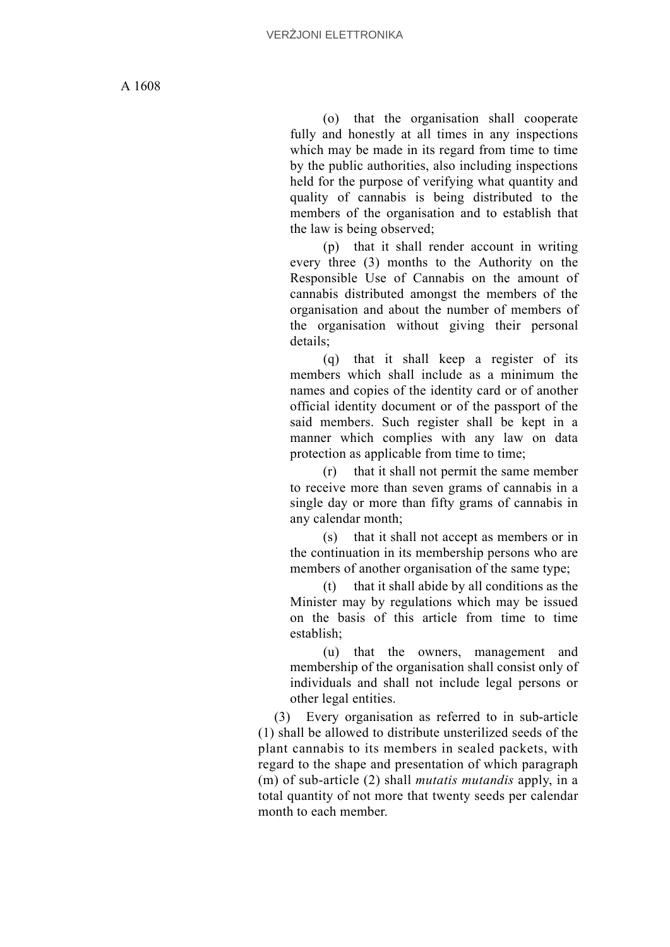(o) that the organisation shall cooperate fully and honestly at all times in any inspections which may be made in its regard from time to time by the public authorities, also including inspections held for the purpose of verifying what quantity and quality of cannabis is being distributed to the members of the organisation and to establish that the law is being observed;

(p) that it shall render account in writing every three (3) months to the Authority on the Responsible Use of Cannabis on the amount of cannabis distributed amongst the members of the organisation and about the number of members of the organisation without giving their personal details;

(q) that it shall keep a register of its members which shall include as a minimum the names and copies of the identity card or of another official identity document or of the passport of the said members. Such register shall be kept in a manner which complies with any law on data protection as applicable from time to time;

(r) that it shall not permit the same member to receive more than seven grams of cannabis in a single day or more than fifty grams of cannabis in any calendar month;

(s) that it shall not accept as members or in the continuation in its membership persons who are members of another organisation of the same type;

(t) that it shall abide by all conditions as the Minister may by regulations which may be issued on the basis of this article from time to time establish;

(u) that the owners, management and membership of the organisation shall consist only of individuals and shall not include legal persons or other legal entities.

(3) Every organisation as referred to in sub-article (1) shall be allowed to distribute unsterilized seeds of the plant cannabis to its members in sealed packets, with regard to the shape and presentation of which paragraph (m) of sub-article (2) shall *mutatis mutandis* apply, in a total quantity of not more that twenty seeds per calendar month to each member.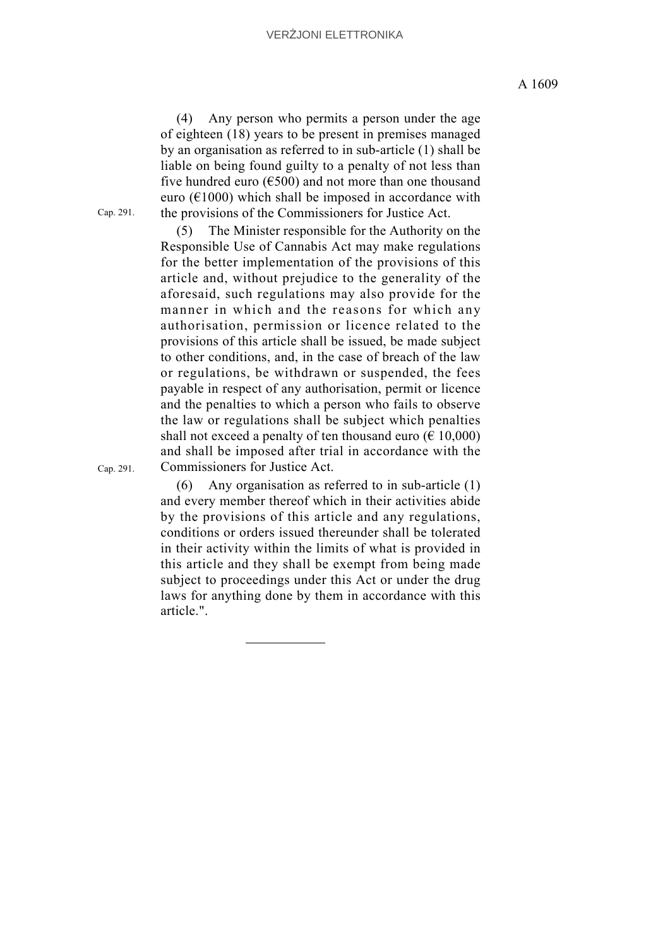(4) Any person who permits a person under the age of eighteen (18) years to be present in premises managed by an organisation as referred to in sub-article (1) shall be liable on being found guilty to a penalty of not less than five hundred euro ( $€500$ ) and not more than one thousand euro ( $E1000$ ) which shall be imposed in accordance with the provisions of the Commissioners for Justice Act.

(5) The Minister responsible for the Authority on the Responsible Use of Cannabis Act may make regulations for the better implementation of the provisions of this article and, without prejudice to the generality of the aforesaid, such regulations may also provide for the manner in which and the reasons for which any authorisation, permission or licence related to the provisions of this article shall be issued, be made subject to other conditions, and, in the case of breach of the law or regulations, be withdrawn or suspended, the fees payable in respect of any authorisation, permit or licence and the penalties to which a person who fails to observe the law or regulations shall be subject which penalties shall not exceed a penalty of ten thousand euro ( $\epsilon$  10,000) and shall be imposed after trial in accordance with the Commissioners for Justice Act.

(6) Any organisation as referred to in sub-article (1) and every member thereof which in their activities abide by the provisions of this article and any regulations, conditions or orders issued thereunder shall be tolerated in their activity within the limits of what is provided in this article and they shall be exempt from being made subject to proceedings under this Act or under the drug laws for anything done by them in accordance with this article.".

Cap. 291.

Cap. 291.